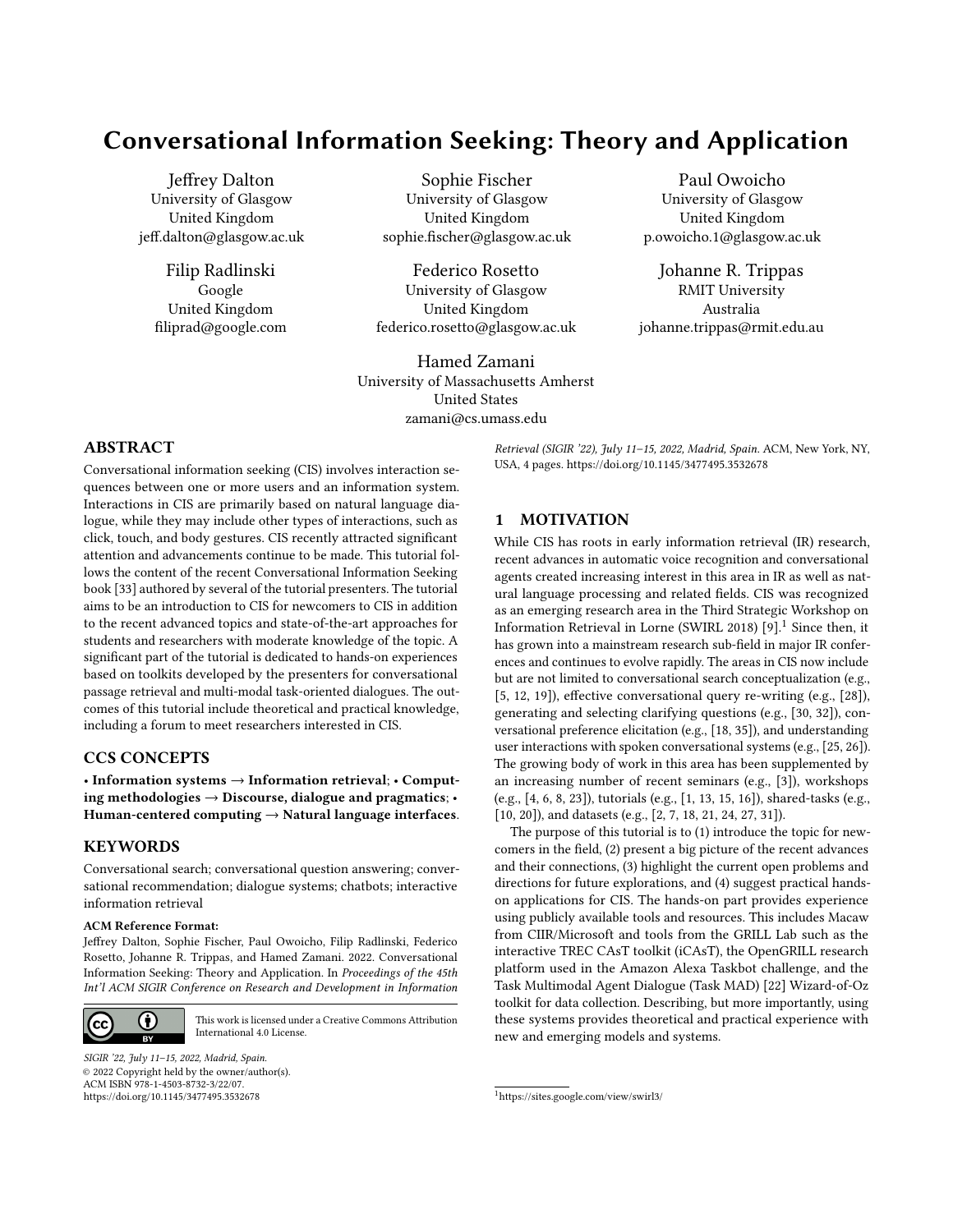# Conversational Information Seeking: Theory and Application

[Jeffrey Dalton](https://orcid.org/0000-0003-2422-8651) University of Glasgow United Kingdom jeff.dalton@glasgow.ac.uk

> [Filip Radlinski](https://orcid.org/0000-0002-1386-9288) Google United Kingdom filiprad@google.com

[Sophie Fischer](https://orcid.org/0000-0002-3324-3426) University of Glasgow United Kingdom sophie.fischer@glasgow.ac.uk

Federico Rosetto University of Glasgow United Kingdom federico.rosetto@glasgow.ac.uk

[Hamed Zamani](https://orcid.org/0000-0002-0800-3340) University of Massachusetts Amherst United States zamani@cs.umass.edu

[Paul Owoicho](https://orcid.org/0000-0001-5811-8050) University of Glasgow United Kingdom p.owoicho.1@glasgow.ac.uk

[Johanne R. Trippas](https://orcid.org/0000-0002-7801-0239) RMIT University Australia johanne.trippas@rmit.edu.au

## ABSTRACT

Conversational information seeking (CIS) involves interaction sequences between one or more users and an information system. Interactions in CIS are primarily based on natural language dialogue, while they may include other types of interactions, such as click, touch, and body gestures. CIS recently attracted significant attention and advancements continue to be made. This tutorial follows the content of the recent Conversational Information Seeking book [\[33\]](#page-3-0) authored by several of the tutorial presenters. The tutorial aims to be an introduction to CIS for newcomers to CIS in addition to the recent advanced topics and state-of-the-art approaches for students and researchers with moderate knowledge of the topic. A significant part of the tutorial is dedicated to hands-on experiences based on toolkits developed by the presenters for conversational passage retrieval and multi-modal task-oriented dialogues. The outcomes of this tutorial include theoretical and practical knowledge, including a forum to meet researchers interested in CIS.

# CCS CONCEPTS

• Information systems → Information retrieval; • Computing methodologies  $\rightarrow$  Discourse, dialogue and pragmatics; • Human-centered computing  $\rightarrow$  Natural language interfaces.

## KEYWORDS

Conversational search; conversational question answering; conversational recommendation; dialogue systems; chatbots; interactive information retrieval

#### ACM Reference Format:

Jeffrey Dalton, Sophie Fischer, Paul Owoicho, Filip Radlinski, Federico Rosetto, Johanne R. Trippas, and Hamed Zamani. 2022. Conversational Information Seeking: Theory and Application. In Proceedings of the 45th Int'l ACM SIGIR Conference on Research and Development in Information



[This work is licensed under a Creative Commons Attribution](http://creativecommons.org/licenses/by/4.0/) [International 4.0 License.](http://creativecommons.org/licenses/by/4.0/)

SIGIR '22, July 11–15, 2022, Madrid, Spain. © 2022 Copyright held by the owner/author(s). ACM ISBN 978-1-4503-8732-3/22/07. <https://doi.org/10.1145/3477495.3532678>

Retrieval (SIGIR '22), July 11-15, 2022, Madrid, Spain. ACM, New York, NY, USA, [4](#page-3-1) pages.<https://doi.org/10.1145/3477495.3532678>

## 1 MOTIVATION

While CIS has roots in early information retrieval (IR) research, recent advances in automatic voice recognition and conversational agents created increasing interest in this area in IR as well as natural language processing and related fields. CIS was recognized as an emerging research area in the Third Strategic Workshop on Information Retrieval in Lorne (SWIRL 20[1](#page-0-0)8)  $[9]$ <sup>1</sup> Since then, it has grown into a mainstream research sub-field in major IR conferences and continues to evolve rapidly. The areas in CIS now include but are not limited to conversational search conceptualization (e.g., [\[5,](#page-2-1) [12,](#page-2-2) [19\]](#page-2-3)), effective conversational query re-writing (e.g., [\[28\]](#page-3-2)), generating and selecting clarifying questions (e.g., [\[30,](#page-3-3) [32\]](#page-3-4)), conversational preference elicitation (e.g., [\[18,](#page-2-4) [35\]](#page-3-5)), and understanding user interactions with spoken conversational systems (e.g., [\[25,](#page-3-6) [26\]](#page-3-7)). The growing body of work in this area has been supplemented by an increasing number of recent seminars (e.g., [\[3\]](#page-2-5)), workshops (e.g., [\[4,](#page-2-6) [6,](#page-2-7) [8,](#page-2-8) [23\]](#page-3-8)), tutorials (e.g., [\[1,](#page-2-9) [13,](#page-2-10) [15,](#page-2-11) [16\]](#page-2-12)), shared-tasks (e.g., [\[10,](#page-2-13) [20\]](#page-2-14)), and datasets (e.g., [\[2,](#page-2-15) [7,](#page-2-16) [18,](#page-2-4) [21,](#page-3-9) [24,](#page-3-10) [27,](#page-3-11) [31\]](#page-3-12)).

The purpose of this tutorial is to (1) introduce the topic for newcomers in the field, (2) present a big picture of the recent advances and their connections, (3) highlight the current open problems and directions for future explorations, and (4) suggest practical handson applications for CIS. The hands-on part provides experience using publicly available tools and resources. This includes Macaw from CIIR/Microsoft and tools from the GRILL Lab such as the interactive TREC CAsT toolkit (iCAsT), the OpenGRILL research platform used in the Amazon Alexa Taskbot challenge, and the Task Multimodal Agent Dialogue (Task MAD) [\[22\]](#page-3-13) Wizard-of-Oz toolkit for data collection. Describing, but more importantly, using these systems provides theoretical and practical experience with new and emerging models and systems.

<span id="page-0-0"></span><sup>1</sup><https://sites.google.com/view/swirl3/>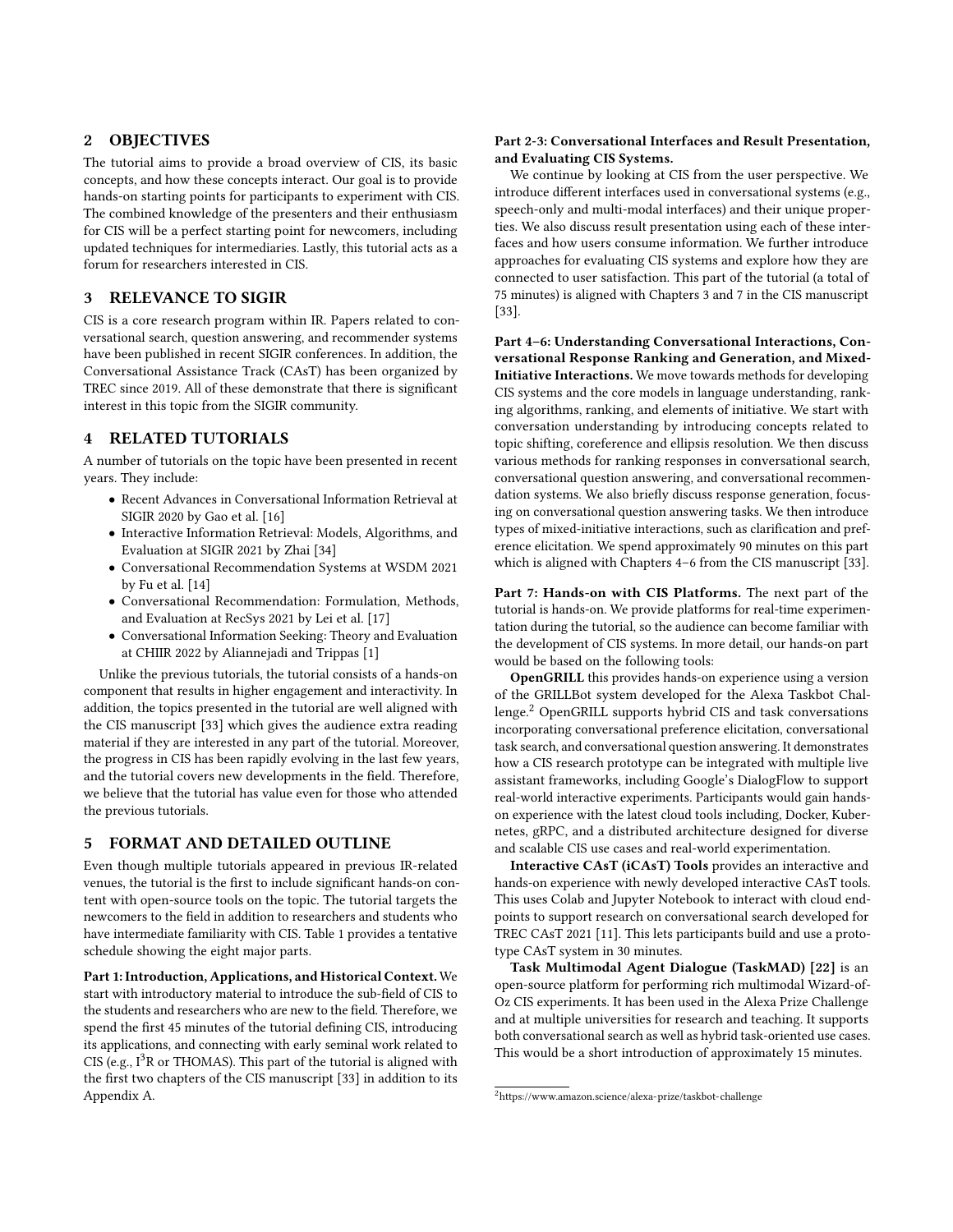## 2 OBJECTIVES

The tutorial aims to provide a broad overview of CIS, its basic concepts, and how these concepts interact. Our goal is to provide hands-on starting points for participants to experiment with CIS. The combined knowledge of the presenters and their enthusiasm for CIS will be a perfect starting point for newcomers, including updated techniques for intermediaries. Lastly, this tutorial acts as a forum for researchers interested in CIS.

## 3 RELEVANCE TO SIGIR

CIS is a core research program within IR. Papers related to conversational search, question answering, and recommender systems have been published in recent SIGIR conferences. In addition, the Conversational Assistance Track (CAsT) has been organized by TREC since 2019. All of these demonstrate that there is significant interest in this topic from the SIGIR community.

## RELATED TUTORIALS

A number of tutorials on the topic have been presented in recent years. They include:

- Recent Advances in Conversational Information Retrieval at SIGIR 2020 by Gao et al. [\[16\]](#page-2-12)
- Interactive Information Retrieval: Models, Algorithms, and Evaluation at SIGIR 2021 by Zhai [\[34\]](#page-3-14)
- Conversational Recommendation Systems at WSDM 2021 by Fu et al. [\[14\]](#page-2-17)
- Conversational Recommendation: Formulation, Methods, and Evaluation at RecSys 2021 by Lei et al. [\[17\]](#page-2-18)
- Conversational Information Seeking: Theory and Evaluation at CHIIR 2022 by Aliannejadi and Trippas [\[1\]](#page-2-9)

Unlike the previous tutorials, the tutorial consists of a hands-on component that results in higher engagement and interactivity. In addition, the topics presented in the tutorial are well aligned with the CIS manuscript [\[33\]](#page-3-0) which gives the audience extra reading material if they are interested in any part of the tutorial. Moreover, the progress in CIS has been rapidly evolving in the last few years, and the tutorial covers new developments in the field. Therefore, we believe that the tutorial has value even for those who attended the previous tutorials.

## 5 FORMAT AND DETAILED OUTLINE

Even though multiple tutorials appeared in previous IR-related venues, the tutorial is the first to include significant hands-on content with open-source tools on the topic. The tutorial targets the newcomers to the field in addition to researchers and students who have intermediate familiarity with CIS. Table [1](#page-2-19) provides a tentative schedule showing the eight major parts.

Part 1: Introduction, Applications, and Historical Context. We start with introductory material to introduce the sub-field of CIS to the students and researchers who are new to the field. Therefore, we spend the first 45 minutes of the tutorial defining CIS, introducing its applications, and connecting with early seminal work related to CIS (e.g.,  $I<sup>3</sup>R$  or THOMAS). This part of the tutorial is aligned with the first two chapters of the CIS manuscript [\[33\]](#page-3-0) in addition to its Appendix A.

### Part 2-3: Conversational Interfaces and Result Presentation, and Evaluating CIS Systems.

We continue by looking at CIS from the user perspective. We introduce different interfaces used in conversational systems (e.g., speech-only and multi-modal interfaces) and their unique properties. We also discuss result presentation using each of these interfaces and how users consume information. We further introduce approaches for evaluating CIS systems and explore how they are connected to user satisfaction. This part of the tutorial (a total of 75 minutes) is aligned with Chapters 3 and 7 in the CIS manuscript [\[33\]](#page-3-0).

Part 4–6: Understanding Conversational Interactions, Conversational Response Ranking and Generation, and Mixed-Initiative Interactions. We move towards methods for developing CIS systems and the core models in language understanding, ranking algorithms, ranking, and elements of initiative. We start with conversation understanding by introducing concepts related to topic shifting, coreference and ellipsis resolution. We then discuss various methods for ranking responses in conversational search, conversational question answering, and conversational recommendation systems. We also briefly discuss response generation, focusing on conversational question answering tasks. We then introduce types of mixed-initiative interactions, such as clarification and preference elicitation. We spend approximately 90 minutes on this part which is aligned with Chapters 4–6 from the CIS manuscript [\[33\]](#page-3-0).

Part 7: Hands-on with CIS Platforms. The next part of the tutorial is hands-on. We provide platforms for real-time experimentation during the tutorial, so the audience can become familiar with the development of CIS systems. In more detail, our hands-on part would be based on the following tools:

OpenGRILL this provides hands-on experience using a version of the GRILLBot system developed for the Alexa Taskbot Challenge.[2](#page-1-0) OpenGRILL supports hybrid CIS and task conversations incorporating conversational preference elicitation, conversational task search, and conversational question answering. It demonstrates how a CIS research prototype can be integrated with multiple live assistant frameworks, including Google's DialogFlow to support real-world interactive experiments. Participants would gain handson experience with the latest cloud tools including, Docker, Kubernetes, gRPC, and a distributed architecture designed for diverse and scalable CIS use cases and real-world experimentation.

Interactive CAsT (iCAsT) Tools provides an interactive and hands-on experience with newly developed interactive CAsT tools. This uses Colab and Jupyter Notebook to interact with cloud endpoints to support research on conversational search developed for TREC CAsT 2021 [\[11\]](#page-2-20). This lets participants build and use a prototype CAsT system in 30 minutes.

Task Multimodal Agent Dialogue (TaskMAD) [\[22\]](#page-3-13) is an open-source platform for performing rich multimodal Wizard-of-Oz CIS experiments. It has been used in the Alexa Prize Challenge and at multiple universities for research and teaching. It supports both conversational search as well as hybrid task-oriented use cases. This would be a short introduction of approximately 15 minutes.

<span id="page-1-0"></span><sup>2</sup><https://www.amazon.science/alexa-prize/taskbot-challenge>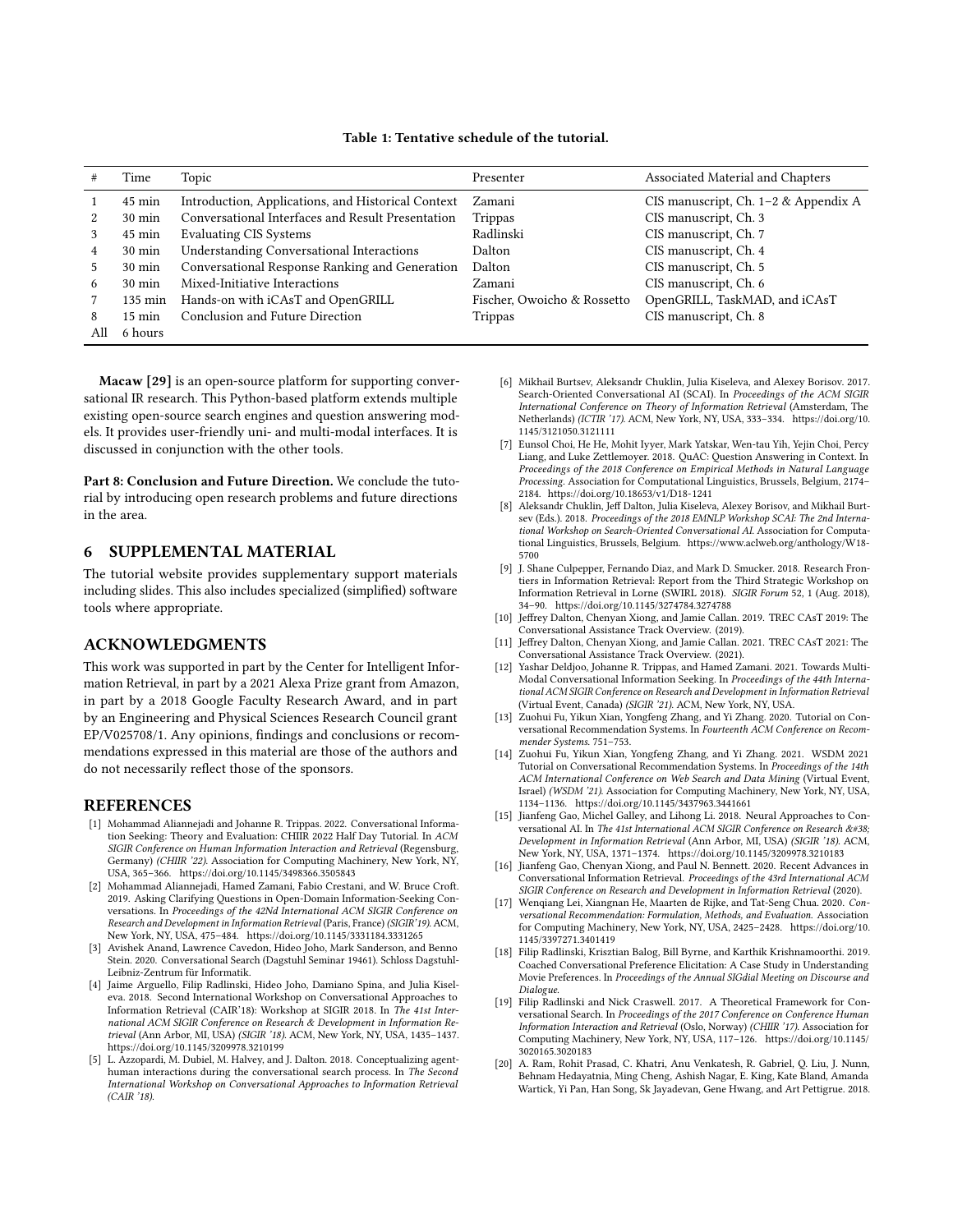<span id="page-2-19"></span>

|   | Time             | Topic                                              | Presenter                   | Associated Material and Chapters     |
|---|------------------|----------------------------------------------------|-----------------------------|--------------------------------------|
|   |                  |                                                    |                             |                                      |
|   | $45 \text{ min}$ | Introduction, Applications, and Historical Context | Zamani                      | CIS manuscript, Ch. 1-2 & Appendix A |
|   | $30 \text{ min}$ | Conversational Interfaces and Result Presentation  | Trippas                     | CIS manuscript, Ch. 3                |
| 3 | $45 \text{ min}$ | <b>Evaluating CIS Systems</b>                      | Radlinski                   | CIS manuscript, Ch. 7                |
| 4 | $30 \text{ min}$ | <b>Understanding Conversational Interactions</b>   | Dalton                      | CIS manuscript, Ch. 4                |
| 5 | $30 \text{ min}$ | Conversational Response Ranking and Generation     | Dalton                      | CIS manuscript, Ch. 5                |
| 6 | $30 \text{ min}$ | Mixed-Initiative Interactions                      | Zamani                      | CIS manuscript, Ch. 6                |
|   | 135 min          | Hands-on with iCAsT and OpenGRILL                  | Fischer, Owoicho & Rossetto | OpenGRILL, TaskMAD, and iCAsT        |
| 8 | $15 \text{ min}$ | Conclusion and Future Direction                    | Trippas                     | CIS manuscript, Ch. 8                |
|   | 6 hours          |                                                    |                             |                                      |

#### Table 1: Tentative schedule of the tutorial.

Macaw [\[29\]](#page-3-15) is an open-source platform for supporting conversational IR research. This Python-based platform extends multiple existing open-source search engines and question answering models. It provides user-friendly uni- and multi-modal interfaces. It is discussed in conjunction with the other tools.

Part 8: Conclusion and Future Direction. We conclude the tutorial by introducing open research problems and future directions in the area.

## 6 SUPPLEMENTAL MATERIAL

The tutorial website provides supplementary support materials including slides. This also includes specialized (simplified) software tools where appropriate.

#### ACKNOWLEDGMENTS

This work was supported in part by the Center for Intelligent Information Retrieval, in part by a 2021 Alexa Prize grant from Amazon, in part by a 2018 Google Faculty Research Award, and in part by an Engineering and Physical Sciences Research Council grant EP/V025708/1. Any opinions, findings and conclusions or recommendations expressed in this material are those of the authors and do not necessarily reflect those of the sponsors.

### REFERENCES

- <span id="page-2-9"></span>[1] Mohammad Aliannejadi and Johanne R. Trippas. 2022. Conversational Information Seeking: Theory and Evaluation: CHIIR 2022 Half Day Tutorial. In ACM SIGIR Conference on Human Information Interaction and Retrieval (Regensburg, Germany) (CHIIR '22). Association for Computing Machinery, New York, NY, USA, 365–366.<https://doi.org/10.1145/3498366.3505843>
- <span id="page-2-15"></span>[2] Mohammad Aliannejadi, Hamed Zamani, Fabio Crestani, and W. Bruce Croft. 2019. Asking Clarifying Questions in Open-Domain Information-Seeking Conversations. In Proceedings of the 42Nd International ACM SIGIR Conference on Research and Development in Information Retrieval (Paris, France) (SIGIR'19). ACM, New York, NY, USA, 475–484.<https://doi.org/10.1145/3331184.3331265>
- <span id="page-2-5"></span>[3] Avishek Anand, Lawrence Cavedon, Hideo Joho, Mark Sanderson, and Benno Stein. 2020. Conversational Search (Dagstuhl Seminar 19461). Schloss Dagstuhl-Leibniz-Zentrum für Informatik.
- <span id="page-2-6"></span>[4] Jaime Arguello, Filip Radlinski, Hideo Joho, Damiano Spina, and Julia Kiseleva. 2018. Second International Workshop on Conversational Approaches to Information Retrieval (CAIR'18): Workshop at SIGIR 2018. In The 41st International ACM SIGIR Conference on Research & Development in Information Retrieval (Ann Arbor, MI, USA) (SIGIR '18). ACM, New York, NY, USA, 1435–1437. <https://doi.org/10.1145/3209978.3210199>
- <span id="page-2-1"></span>[5] L. Azzopardi, M. Dubiel, M. Halvey, and J. Dalton. 2018. Conceptualizing agenthuman interactions during the conversational search process. In The Second International Workshop on Conversational Approaches to Information Retrieval (CAIR '18).
- <span id="page-2-7"></span>[6] Mikhail Burtsev, Aleksandr Chuklin, Julia Kiseleva, and Alexey Borisov. 2017. Search-Oriented Conversational AI (SCAI). In Proceedings of the ACM SIGIR International Conference on Theory of Information Retrieval (Amsterdam, The Netherlands) (ICTIR '17). ACM, New York, NY, USA, 333–334. [https://doi.org/10.](https://doi.org/10.1145/3121050.3121111) [1145/3121050.3121111](https://doi.org/10.1145/3121050.3121111)
- <span id="page-2-16"></span>[7] Eunsol Choi, He He, Mohit Iyyer, Mark Yatskar, Wen-tau Yih, Yejin Choi, Percy Liang, and Luke Zettlemoyer. 2018. QuAC: Question Answering in Context. In Proceedings of the 2018 Conference on Empirical Methods in Natural Language Processing. Association for Computational Linguistics, Brussels, Belgium, 2174– 2184.<https://doi.org/10.18653/v1/D18-1241>
- <span id="page-2-8"></span>[8] Aleksandr Chuklin, Jeff Dalton, Julia Kiseleva, Alexey Borisov, and Mikhail Burtsev (Eds.). 2018. Proceedings of the 2018 EMNLP Workshop SCAI: The 2nd International Workshop on Search-Oriented Conversational AI. Association for Computational Linguistics, Brussels, Belgium. [https://www.aclweb.org/anthology/W18-](https://www.aclweb.org/anthology/W18-5700) [5700](https://www.aclweb.org/anthology/W18-5700)
- <span id="page-2-0"></span>[9] J. Shane Culpepper, Fernando Diaz, and Mark D. Smucker. 2018. Research Frontiers in Information Retrieval: Report from the Third Strategic Workshop on Information Retrieval in Lorne (SWIRL 2018). SIGIR Forum 52, 1 (Aug. 2018), 34–90.<https://doi.org/10.1145/3274784.3274788>
- <span id="page-2-13"></span>[10] Jeffrey Dalton, Chenyan Xiong, and Jamie Callan. 2019. TREC CAsT 2019: The Conversational Assistance Track Overview. (2019).
- <span id="page-2-20"></span>[11] Jeffrey Dalton, Chenyan Xiong, and Jamie Callan. 2021. TREC CAsT 2021: The Conversational Assistance Track Overview. (2021).
- <span id="page-2-2"></span>[12] Yashar Deldjoo, Johanne R. Trippas, and Hamed Zamani. 2021. Towards Multi-Modal Conversational Information Seeking. In Proceedings of the 44th International ACM SIGIR Conference on Research and Development in Information Retrieval (Virtual Event, Canada) (SIGIR '21). ACM, New York, NY, USA.
- <span id="page-2-10"></span>[13] Zuohui Fu, Yikun Xian, Yongfeng Zhang, and Yi Zhang. 2020. Tutorial on Conversational Recommendation Systems. In Fourteenth ACM Conference on Recommender Systems. 751–753.
- <span id="page-2-17"></span>[14] Zuohui Fu, Yikun Xian, Yongfeng Zhang, and Yi Zhang. 2021. WSDM 2021 Tutorial on Conversational Recommendation Systems. In Proceedings of the 14th ACM International Conference on Web Search and Data Mining (Virtual Event, Israel) (WSDM '21). Association for Computing Machinery, New York, NY, USA, 1134–1136.<https://doi.org/10.1145/3437963.3441661>
- <span id="page-2-11"></span>[15] Jianfeng Gao, Michel Galley, and Lihong Li. 2018. Neural Approaches to Conversational AI. In The 41st International ACM SIGIR Conference on Research & Development in Information Retrieval (Ann Arbor, MI, USA) (SIGIR '18). ACM, New York, NY, USA, 1371–1374.<https://doi.org/10.1145/3209978.3210183>
- <span id="page-2-12"></span>[16] Jianfeng Gao, Chenyan Xiong, and Paul N. Bennett. 2020. Recent Advances in Conversational Information Retrieval. Proceedings of the 43rd International ACM SIGIR Conference on Research and Development in Information Retrieval (2020).
- <span id="page-2-18"></span>[17] Wenqiang Lei, Xiangnan He, Maarten de Rijke, and Tat-Seng Chua. 2020. Conversational Recommendation: Formulation, Methods, and Evaluation. Association for Computing Machinery, New York, NY, USA, 2425–2428. [https://doi.org/10.](https://doi.org/10.1145/3397271.3401419) [1145/3397271.3401419](https://doi.org/10.1145/3397271.3401419)
- <span id="page-2-4"></span>[18] Filip Radlinski, Krisztian Balog, Bill Byrne, and Karthik Krishnamoorthi. 2019. Coached Conversational Preference Elicitation: A Case Study in Understanding Movie Preferences. In Proceedings of the Annual SIGdial Meeting on Discourse and Dialogue.
- <span id="page-2-3"></span>[19] Filip Radlinski and Nick Craswell. 2017. A Theoretical Framework for Conversational Search. In Proceedings of the 2017 Conference on Conference Human Information Interaction and Retrieval (Oslo, Norway) (CHIIR '17). Association for Computing Machinery, New York, NY, USA, 117–126. [https://doi.org/10.1145/](https://doi.org/10.1145/3020165.3020183) [3020165.3020183](https://doi.org/10.1145/3020165.3020183)
- <span id="page-2-14"></span>[20] A. Ram, Rohit Prasad, C. Khatri, Anu Venkatesh, R. Gabriel, Q. Liu, J. Nunn, Behnam Hedayatnia, Ming Cheng, Ashish Nagar, E. King, Kate Bland, Amanda Wartick, Yi Pan, Han Song, Sk Jayadevan, Gene Hwang, and Art Pettigrue. 2018.